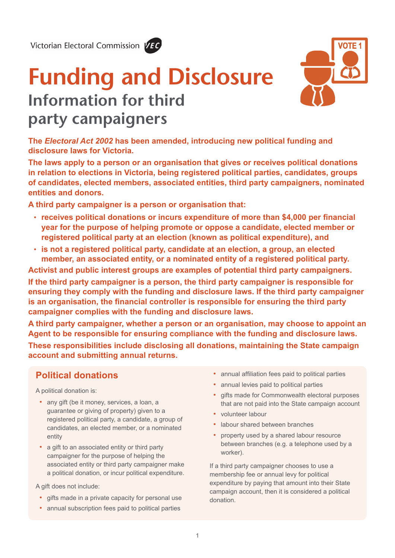Victorian Electoral Commission VEC



# **Funding and Disclosure Information for third party campaigners**



**The** *Electoral Act 2002* **has been amended, introducing new political funding and disclosure laws for Victoria.**

**The laws apply to a person or an organisation that gives or receives political donations in relation to elections in Victoria, being registered political parties, candidates, groups of candidates, elected members, associated entities, third party campaigners, nominated entities and donors.** 

**A third party campaigner is a person or organisation that:**

- **receives political donations or incurs expenditure of more than \$4,000 per financial year for the purpose of helping promote or oppose a candidate, elected member or registered political party at an election (known as political expenditure), and**
- **is not a registered political party, candidate at an election, a group, an elected member, an associated entity, or a nominated entity of a registered political party.**

**Activist and public interest groups are examples of potential third party campaigners.**

**If the third party campaigner is a person, the third party campaigner is responsible for ensuring they comply with the funding and disclosure laws. If the third party campaigner is an organisation, the financial controller is responsible for ensuring the third party campaigner complies with the funding and disclosure laws.** 

**A third party campaigner, whether a person or an organisation, may choose to appoint an Agent to be responsible for ensuring compliance with the funding and disclosure laws. These responsibilities include disclosing all donations, maintaining the State campaign account and submitting annual returns.**

# **Political donations**

A political donation is:

- any gift (be it money, services, a loan, a guarantee or giving of property) given to a registered political party, a candidate, a group of candidates, an elected member, or a nominated entity
- a gift to an associated entity or third party campaigner for the purpose of helping the associated entity or third party campaigner make a political donation, or incur political expenditure.

A gift does not include:

- gifts made in a private capacity for personal use
- annual subscription fees paid to political parties
- annual affiliation fees paid to political parties
- annual levies paid to political parties
- gifts made for Commonwealth electoral purposes that are not paid into the State campaign account
- volunteer labour
- labour shared between branches
- property used by a shared labour resource between branches (e.g. a telephone used by a worker).

If a third party campaigner chooses to use a membership fee or annual levy for political expenditure by paying that amount into their State campaign account, then it is considered a political donation.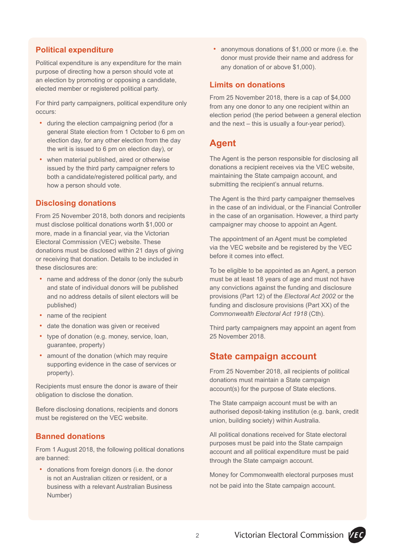## **Political expenditure**

Political expenditure is any expenditure for the main purpose of directing how a person should vote at an election by promoting or opposing a candidate, elected member or registered political party.

For third party campaigners, political expenditure only occurs:

- during the election campaigning period (for a general State election from 1 October to 6 pm on election day, for any other election from the day the writ is issued to 6 pm on election day), or
- when material published, aired or otherwise issued by the third party campaigner refers to both a candidate/registered political party, and how a person should vote.

#### **Disclosing donations**

From 25 November 2018, both donors and recipients must disclose political donations worth \$1,000 or more, made in a financial year, via the Victorian Electoral Commission (VEC) website. These donations must be disclosed within 21 days of giving or receiving that donation. Details to be included in these disclosures are:

- name and address of the donor (only the suburb and state of individual donors will be published and no address details of silent electors will be published)
- name of the recipient
- date the donation was given or received
- type of donation (e.g. money, service, loan, guarantee, property)
- amount of the donation (which may require supporting evidence in the case of services or property).

Recipients must ensure the donor is aware of their obligation to disclose the donation.

Before disclosing donations, recipients and donors must be registered on the VEC website.

#### **Banned donations**

From 1 August 2018, the following political donations are banned:

• donations from foreign donors (i.e. the donor is not an Australian citizen or resident, or a business with a relevant Australian Business Number)

• anonymous donations of \$1,000 or more (i.e. the donor must provide their name and address for any donation of or above \$1,000).

#### **Limits on donations**

From 25 November 2018, there is a cap of \$4,000 from any one donor to any one recipient within an election period (the period between a general election and the next – this is usually a four-year period).

## **Agent**

The Agent is the person responsible for disclosing all donations a recipient receives via the VEC website, maintaining the State campaign account, and submitting the recipient's annual returns.

The Agent is the third party campaigner themselves in the case of an individual, or the Financial Controller in the case of an organisation. However, a third party campaigner may choose to appoint an Agent.

The appointment of an Agent must be completed via the VEC website and be registered by the VEC before it comes into effect.

To be eligible to be appointed as an Agent, a person must be at least 18 years of age and must not have any convictions against the funding and disclosure provisions (Part 12) of the *Electoral Act 2002* or the funding and disclosure provisions (Part XX) of the *Commonwealth Electoral Act 1918* (Cth).

Third party campaigners may appoint an agent from 25 November 2018.

## **State campaign account**

From 25 November 2018, all recipients of political donations must maintain a State campaign account(s) for the purpose of State elections.

The State campaign account must be with an authorised deposit-taking institution (e.g. bank, credit union, building society) within Australia.

All political donations received for State electoral purposes must be paid into the State campaign account and all political expenditure must be paid through the State campaign account.

Money for Commonwealth electoral purposes must not be paid into the State campaign account.